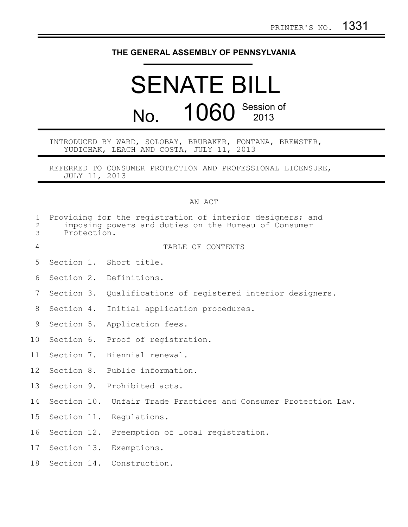## **THE GENERAL ASSEMBLY OF PENNSYLVANIA**

## SENATE BILL No. 1060 Session of 2013

INTRODUCED BY WARD, SOLOBAY, BRUBAKER, FONTANA, BREWSTER, YUDICHAK, LEACH AND COSTA, JULY 11, 2013

REFERRED TO CONSUMER PROTECTION AND PROFESSIONAL LICENSURE, JULY 11, 2013

## AN ACT

| $\mathbf{1}$<br>$\mathbf{2}$<br>3 | Providing for the registration of interior designers; and<br>imposing powers and duties on the Bureau of Consumer<br>Protection. |  |                                                             |
|-----------------------------------|----------------------------------------------------------------------------------------------------------------------------------|--|-------------------------------------------------------------|
| 4                                 |                                                                                                                                  |  | TABLE OF CONTENTS                                           |
| 5                                 |                                                                                                                                  |  | Section 1. Short title.                                     |
| 6                                 |                                                                                                                                  |  | Section 2. Definitions.                                     |
| 7                                 |                                                                                                                                  |  | Section 3. Qualifications of registered interior designers. |
| 8                                 |                                                                                                                                  |  | Section 4. Initial application procedures.                  |
| 9                                 |                                                                                                                                  |  | Section 5. Application fees.                                |
| 10                                |                                                                                                                                  |  | Section 6. Proof of registration.                           |
| 11                                |                                                                                                                                  |  | Section 7. Biennial renewal.                                |
| 12                                |                                                                                                                                  |  | Section 8. Public information.                              |
| 13                                |                                                                                                                                  |  | Section 9. Prohibited acts.                                 |
| 14                                | Section 10.                                                                                                                      |  | Unfair Trade Practices and Consumer Protection Law.         |
| 15                                |                                                                                                                                  |  | Section 11. Regulations.                                    |
| 16                                |                                                                                                                                  |  | Section 12. Preemption of local registration.               |
| 17                                |                                                                                                                                  |  | Section 13. Exemptions.                                     |
| 18                                |                                                                                                                                  |  | Section 14. Construction.                                   |
|                                   |                                                                                                                                  |  |                                                             |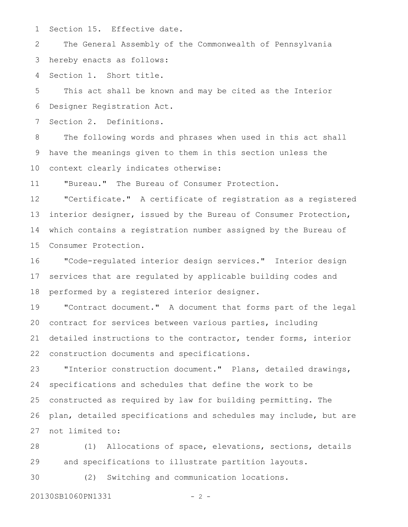Section 15. Effective date. 1

The General Assembly of the Commonwealth of Pennsylvania hereby enacts as follows: 2 3

Section 1. Short title. 4

This act shall be known and may be cited as the Interior Designer Registration Act. 5 6

Section 2. Definitions. 7

The following words and phrases when used in this act shall have the meanings given to them in this section unless the context clearly indicates otherwise: 8 9 10

"Bureau." The Bureau of Consumer Protection. 11

"Certificate." A certificate of registration as a registered interior designer, issued by the Bureau of Consumer Protection, which contains a registration number assigned by the Bureau of Consumer Protection. 12 13 14 15

"Code-regulated interior design services." Interior design services that are regulated by applicable building codes and performed by a registered interior designer. 16 17 18

"Contract document." A document that forms part of the legal contract for services between various parties, including detailed instructions to the contractor, tender forms, interior construction documents and specifications. 19 20 21 22

"Interior construction document." Plans, detailed drawings, specifications and schedules that define the work to be constructed as required by law for building permitting. The plan, detailed specifications and schedules may include, but are not limited to: 23 24 25 26 27

(1) Allocations of space, elevations, sections, details and specifications to illustrate partition layouts. 28 29

(2) Switching and communication locations. 30

20130SB1060PN1331 - 2 -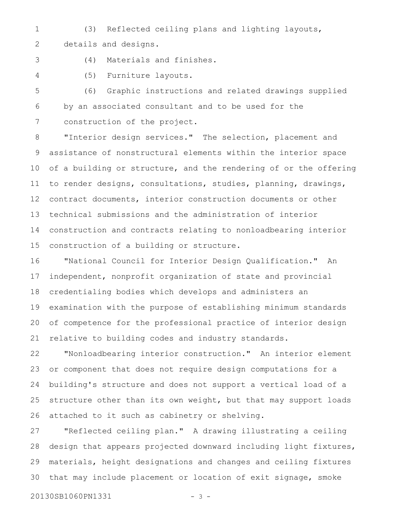- (3) Reflected ceiling plans and lighting layouts, details and designs. 1 2
- 3
- (4) Materials and finishes.
- 4

(5) Furniture layouts.

(6) Graphic instructions and related drawings supplied by an associated consultant and to be used for the construction of the project. 5 6 7

"Interior design services." The selection, placement and assistance of nonstructural elements within the interior space of a building or structure, and the rendering of or the offering to render designs, consultations, studies, planning, drawings, contract documents, interior construction documents or other technical submissions and the administration of interior construction and contracts relating to nonloadbearing interior construction of a building or structure. 8 9 10 11 12 13 14 15

"National Council for Interior Design Qualification." An independent, nonprofit organization of state and provincial credentialing bodies which develops and administers an examination with the purpose of establishing minimum standards of competence for the professional practice of interior design relative to building codes and industry standards. 16 17 18 19 20 21

"Nonloadbearing interior construction." An interior element or component that does not require design computations for a building's structure and does not support a vertical load of a structure other than its own weight, but that may support loads attached to it such as cabinetry or shelving. 22 23 24 25 26

"Reflected ceiling plan." A drawing illustrating a ceiling design that appears projected downward including light fixtures, materials, height designations and changes and ceiling fixtures that may include placement or location of exit signage, smoke 27 28 29 30

20130SB1060PN1331 - 3 -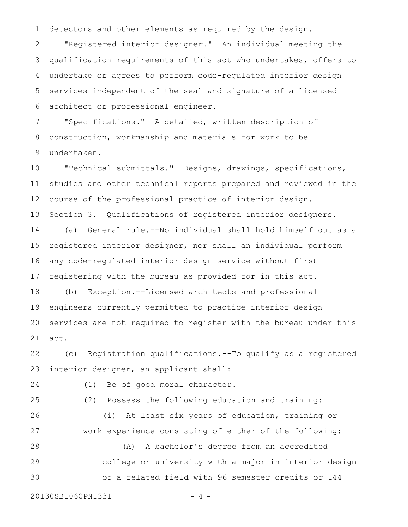detectors and other elements as required by the design. 1

"Registered interior designer." An individual meeting the qualification requirements of this act who undertakes, offers to undertake or agrees to perform code-regulated interior design services independent of the seal and signature of a licensed architect or professional engineer. 2 3 4 5 6

"Specifications." A detailed, written description of construction, workmanship and materials for work to be undertaken. 7 8 9

"Technical submittals." Designs, drawings, specifications, studies and other technical reports prepared and reviewed in the course of the professional practice of interior design. Section 3. Qualifications of registered interior designers. (a) General rule.--No individual shall hold himself out as a registered interior designer, nor shall an individual perform any code-regulated interior design service without first registering with the bureau as provided for in this act. (b) Exception.--Licensed architects and professional engineers currently permitted to practice interior design 10 11 12 13 14 15 16 17 18 19

act. 21

20

(c) Registration qualifications.--To qualify as a registered interior designer, an applicant shall: 22 23

services are not required to register with the bureau under this

(1) Be of good moral character. (2) Possess the following education and training: (i) At least six years of education, training or work experience consisting of either of the following: (A) A bachelor's degree from an accredited college or university with a major in interior design or a related field with 96 semester credits or 144 20130SB1060PN1331 - 4 -24 25 26 27 28 29 30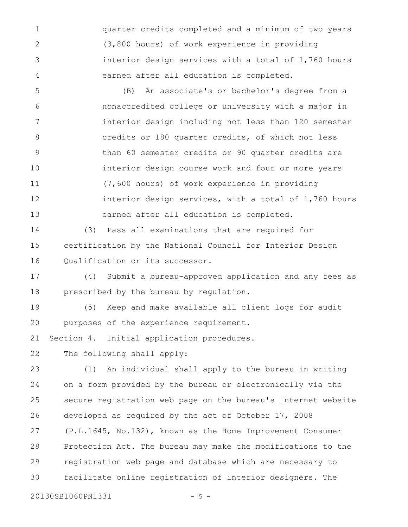quarter credits completed and a minimum of two years (3,800 hours) of work experience in providing interior design services with a total of 1,760 hours earned after all education is completed. 1 2 3 4

(B) An associate's or bachelor's degree from a nonaccredited college or university with a major in interior design including not less than 120 semester credits or 180 quarter credits, of which not less than 60 semester credits or 90 quarter credits are interior design course work and four or more years (7,600 hours) of work experience in providing interior design services, with a total of 1,760 hours earned after all education is completed. 5 6 7 8 9 10 11 12 13

(3) Pass all examinations that are required for certification by the National Council for Interior Design Qualification or its successor. 14 15 16

(4) Submit a bureau-approved application and any fees as prescribed by the bureau by regulation. 17 18

(5) Keep and make available all client logs for audit purposes of the experience requirement. 19 20

Section 4. Initial application procedures. 21

The following shall apply: 22

(1) An individual shall apply to the bureau in writing on a form provided by the bureau or electronically via the secure registration web page on the bureau's Internet website developed as required by the act of October 17, 2008 (P.L.1645, No.132), known as the Home Improvement Consumer Protection Act. The bureau may make the modifications to the registration web page and database which are necessary to facilitate online registration of interior designers. The 23 24 25 26 27 28 29 30

20130SB1060PN1331 - 5 -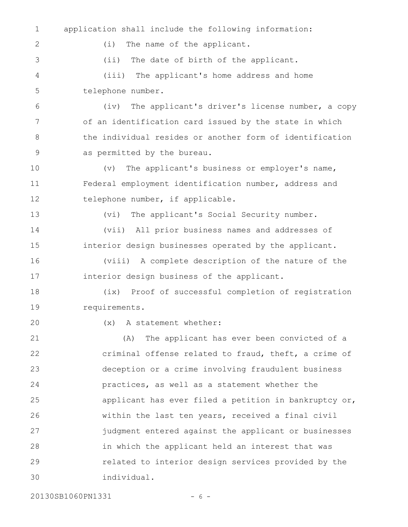| $\mathbf 1$ | application shall include the following information:     |
|-------------|----------------------------------------------------------|
| 2           | (i)<br>The name of the applicant.                        |
| 3           | (i <sub>i</sub> )<br>The date of birth of the applicant. |
| 4           | (iii) The applicant's home address and home              |
| 5           | telephone number.                                        |
| 6           | The applicant's driver's license number, a copy<br>(iv)  |
| 7           | of an identification card issued by the state in which   |
| 8           | the individual resides or another form of identification |
| 9           | as permitted by the bureau.                              |
| 10          | The applicant's business or employer's name,<br>(v)      |
| 11          | Federal employment identification number, address and    |
| 12          | telephone number, if applicable.                         |
| 13          | The applicant's Social Security number.<br>(vi)          |
| 14          | (vii) All prior business names and addresses of          |
| 15          | interior design businesses operated by the applicant.    |
| 16          | (viii) A complete description of the nature of the       |
| 17          | interior design business of the applicant.               |
| 18          | Proof of successful completion of registration<br>(ix)   |
| 19          | requirements.                                            |
| 20          | A statement whether:<br>(x)                              |
| 21          | The applicant has ever been convicted of a<br>(A)        |
| 22          | criminal offense related to fraud, theft, a crime of     |
| 23          | deception or a crime involving fraudulent business       |
| 24          | practices, as well as a statement whether the            |
| 25          | applicant has ever filed a petition in bankruptcy or,    |
| 26          | within the last ten years, received a final civil        |
| 27          | judgment entered against the applicant or businesses     |
| 28          | in which the applicant held an interest that was         |
| 29          | related to interior design services provided by the      |
| 30          | individual.                                              |
|             |                                                          |

20130SB1060PN1331 - 6 -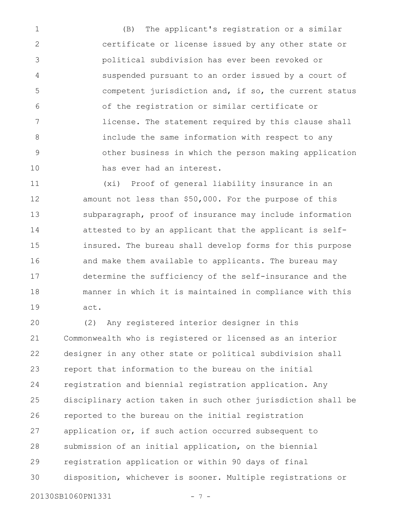(B) The applicant's registration or a similar certificate or license issued by any other state or political subdivision has ever been revoked or suspended pursuant to an order issued by a court of competent jurisdiction and, if so, the current status of the registration or similar certificate or license. The statement required by this clause shall include the same information with respect to any other business in which the person making application has ever had an interest. 1 2 3 4 5 6 7 8 9 10

(xi) Proof of general liability insurance in an amount not less than \$50,000. For the purpose of this subparagraph, proof of insurance may include information attested to by an applicant that the applicant is selfinsured. The bureau shall develop forms for this purpose and make them available to applicants. The bureau may determine the sufficiency of the self-insurance and the manner in which it is maintained in compliance with this act. 11 12 13 14 15 16 17 18 19

(2) Any registered interior designer in this Commonwealth who is registered or licensed as an interior designer in any other state or political subdivision shall report that information to the bureau on the initial registration and biennial registration application. Any disciplinary action taken in such other jurisdiction shall be reported to the bureau on the initial registration application or, if such action occurred subsequent to submission of an initial application, on the biennial registration application or within 90 days of final disposition, whichever is sooner. Multiple registrations or 20 21 22 23 24 25 26 27 28 29 30

20130SB1060PN1331 - 7 -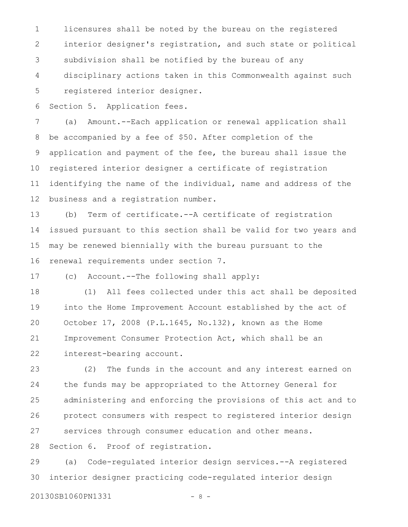licensures shall be noted by the bureau on the registered interior designer's registration, and such state or political subdivision shall be notified by the bureau of any disciplinary actions taken in this Commonwealth against such registered interior designer. 1 2 3 4 5

Section 5. Application fees. 6

(a) Amount.--Each application or renewal application shall be accompanied by a fee of \$50. After completion of the application and payment of the fee, the bureau shall issue the registered interior designer a certificate of registration identifying the name of the individual, name and address of the business and a registration number. 7 8 9 10 11 12

(b) Term of certificate.--A certificate of registration issued pursuant to this section shall be valid for two years and may be renewed biennially with the bureau pursuant to the renewal requirements under section 7. 13 14 15 16

(c) Account.--The following shall apply: 17

(1) All fees collected under this act shall be deposited into the Home Improvement Account established by the act of October 17, 2008 (P.L.1645, No.132), known as the Home Improvement Consumer Protection Act, which shall be an interest-bearing account. 18 19 20 21 22

(2) The funds in the account and any interest earned on the funds may be appropriated to the Attorney General for administering and enforcing the provisions of this act and to protect consumers with respect to registered interior design services through consumer education and other means. Section 6. Proof of registration. 23 24 25 26 27 28

(a) Code-regulated interior design services.--A registered interior designer practicing code-regulated interior design 29 30

20130SB1060PN1331 - 8 -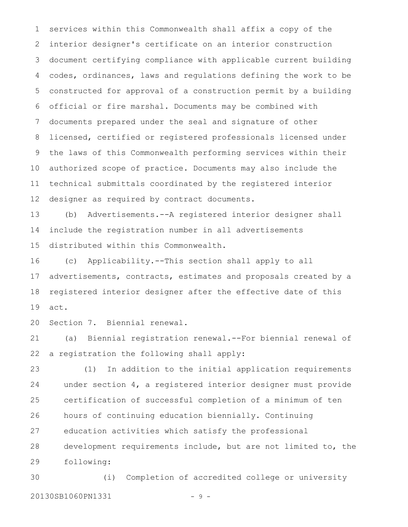services within this Commonwealth shall affix a copy of the interior designer's certificate on an interior construction document certifying compliance with applicable current building codes, ordinances, laws and regulations defining the work to be constructed for approval of a construction permit by a building official or fire marshal. Documents may be combined with documents prepared under the seal and signature of other licensed, certified or registered professionals licensed under the laws of this Commonwealth performing services within their authorized scope of practice. Documents may also include the technical submittals coordinated by the registered interior designer as required by contract documents. 1 2 3 4 5 6 7 8 9 10 11 12

(b) Advertisements.--A registered interior designer shall include the registration number in all advertisements distributed within this Commonwealth. 13 14 15

(c) Applicability.--This section shall apply to all advertisements, contracts, estimates and proposals created by a registered interior designer after the effective date of this act. 16 17 18 19

Section 7. Biennial renewal. 20

(a) Biennial registration renewal.--For biennial renewal of a registration the following shall apply: 21 22

(1) In addition to the initial application requirements under section 4, a registered interior designer must provide certification of successful completion of a minimum of ten hours of continuing education biennially. Continuing education activities which satisfy the professional development requirements include, but are not limited to, the following: 23 24 25 26 27 28 29

(i) Completion of accredited college or university 20130SB1060PN1331 - 9 -30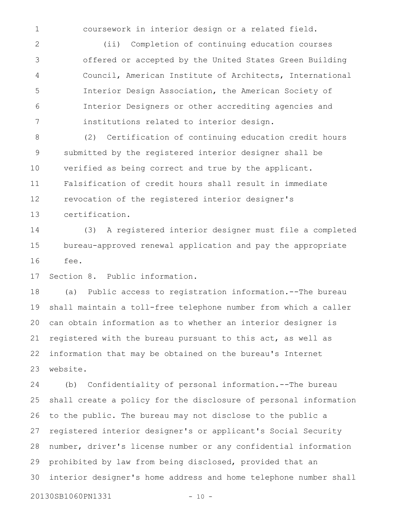1

coursework in interior design or a related field.

(ii) Completion of continuing education courses offered or accepted by the United States Green Building Council, American Institute of Architects, International Interior Design Association, the American Society of Interior Designers or other accrediting agencies and institutions related to interior design. 2 3 4 5 6 7

(2) Certification of continuing education credit hours submitted by the registered interior designer shall be verified as being correct and true by the applicant. Falsification of credit hours shall result in immediate revocation of the registered interior designer's certification. 8 9 10 11 12 13

(3) A registered interior designer must file a completed bureau-approved renewal application and pay the appropriate fee. 14 15 16

Section 8. Public information. 17

(a) Public access to registration information.--The bureau shall maintain a toll-free telephone number from which a caller can obtain information as to whether an interior designer is registered with the bureau pursuant to this act, as well as information that may be obtained on the bureau's Internet website. 18 19 20 21 22 23

(b) Confidentiality of personal information.--The bureau shall create a policy for the disclosure of personal information to the public. The bureau may not disclose to the public a registered interior designer's or applicant's Social Security number, driver's license number or any confidential information prohibited by law from being disclosed, provided that an interior designer's home address and home telephone number shall 20130SB1060PN1331 - 10 -24 25 26 27 28 29 30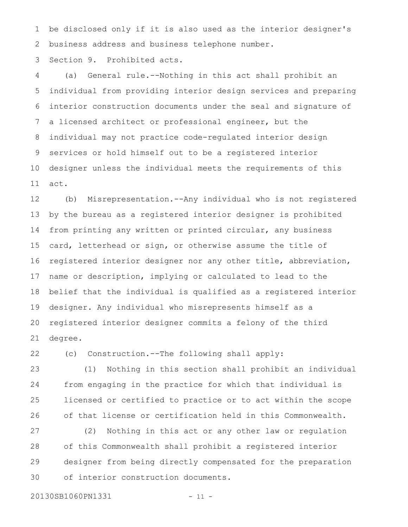be disclosed only if it is also used as the interior designer's business address and business telephone number. 1 2

Section 9. Prohibited acts. 3

(a) General rule.--Nothing in this act shall prohibit an individual from providing interior design services and preparing interior construction documents under the seal and signature of a licensed architect or professional engineer, but the individual may not practice code-regulated interior design services or hold himself out to be a registered interior designer unless the individual meets the requirements of this act. 4 5 6 7 8 9 10 11

(b) Misrepresentation.--Any individual who is not registered by the bureau as a registered interior designer is prohibited from printing any written or printed circular, any business card, letterhead or sign, or otherwise assume the title of registered interior designer nor any other title, abbreviation, name or description, implying or calculated to lead to the belief that the individual is qualified as a registered interior designer. Any individual who misrepresents himself as a registered interior designer commits a felony of the third degree. 12 13 14 15 16 17 18 19 20 21

22

(c) Construction.--The following shall apply:

(1) Nothing in this section shall prohibit an individual from engaging in the practice for which that individual is licensed or certified to practice or to act within the scope of that license or certification held in this Commonwealth. 23 24 25 26

(2) Nothing in this act or any other law or regulation of this Commonwealth shall prohibit a registered interior designer from being directly compensated for the preparation of interior construction documents. 27 28 29 30

20130SB1060PN1331 - 11 -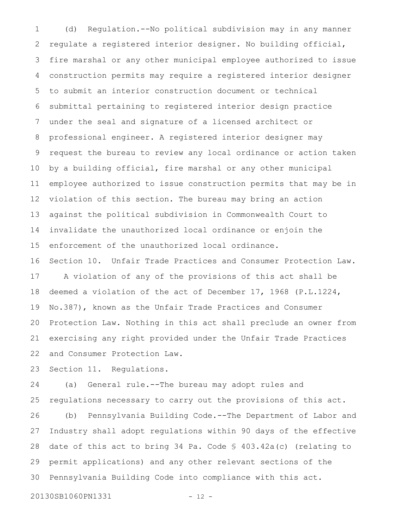(d) Regulation.--No political subdivision may in any manner regulate a registered interior designer. No building official, fire marshal or any other municipal employee authorized to issue construction permits may require a registered interior designer to submit an interior construction document or technical submittal pertaining to registered interior design practice under the seal and signature of a licensed architect or professional engineer. A registered interior designer may request the bureau to review any local ordinance or action taken by a building official, fire marshal or any other municipal employee authorized to issue construction permits that may be in violation of this section. The bureau may bring an action against the political subdivision in Commonwealth Court to invalidate the unauthorized local ordinance or enjoin the enforcement of the unauthorized local ordinance. Section 10. Unfair Trade Practices and Consumer Protection Law. A violation of any of the provisions of this act shall be deemed a violation of the act of December 17, 1968 (P.L.1224, No.387), known as the Unfair Trade Practices and Consumer Protection Law. Nothing in this act shall preclude an owner from exercising any right provided under the Unfair Trade Practices and Consumer Protection Law. 1 2 3 4 5 6 7 8 9 10 11 12 13 14 15 16 17 18 19 20 21 22

Section 11. Regulations. 23

(a) General rule.--The bureau may adopt rules and regulations necessary to carry out the provisions of this act. (b) Pennsylvania Building Code.--The Department of Labor and Industry shall adopt regulations within 90 days of the effective date of this act to bring 34 Pa. Code § 403.42a(c) (relating to permit applications) and any other relevant sections of the Pennsylvania Building Code into compliance with this act. 24 25 26 27 28 29 30

20130SB1060PN1331 - 12 -